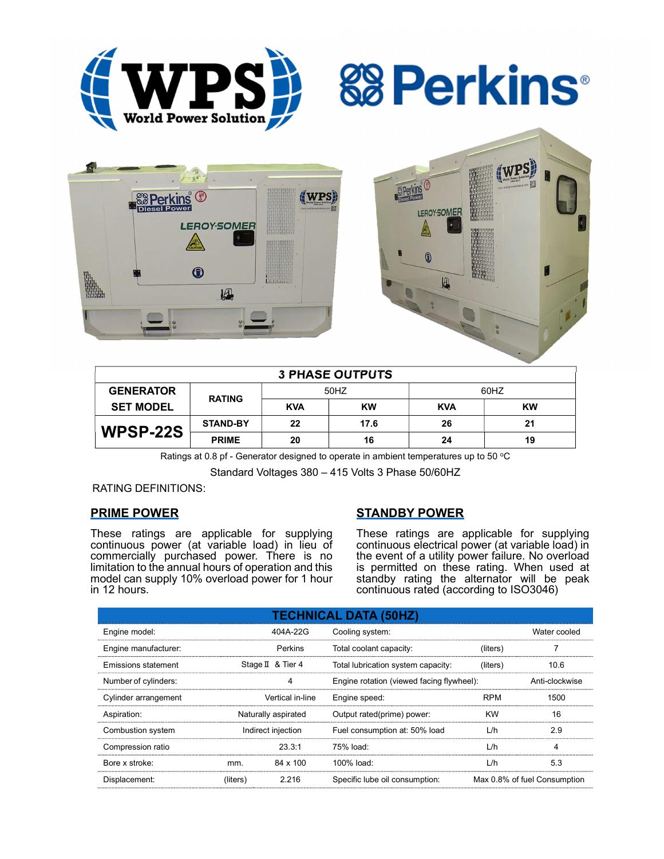







| <b>3 PHASE OUTPUTS</b> |                 |            |           |            |           |  |  |  |
|------------------------|-----------------|------------|-----------|------------|-----------|--|--|--|
| <b>GENERATOR</b>       | <b>RATING</b>   | 50HZ       |           | 60HZ       |           |  |  |  |
| <b>SET MODEL</b>       |                 | <b>KVA</b> | <b>KW</b> | <b>KVA</b> | <b>KW</b> |  |  |  |
| WPSP-22S               | <b>STAND-BY</b> | 22         | 17.6      | 26         | 21        |  |  |  |
|                        | <b>PRIME</b>    | 20         | 16        | 24         | 19        |  |  |  |

Ratings at 0.8 pf - Generator designed to operate in ambient temperatures up to 50  $^{\circ}$ C

Standard Voltages 380 – 415 Volts 3 Phase 50/60HZ

# RATING DEFINITIONS:

# PRIME POWER

These ratings are applicable for supplying continuous power (at variable load) in lieu of commercially purchased power. There is no limitation to the annual hours of operation and this model can supply 10% overload power for 1 hour in 12 hours.

# STANDBY POWER

These ratings are applicable for supplying continuous electrical power (at variable load) in the event of a utility power failure. No overload is permitted on these rating. When used at standby rating the alternator will be peak continuous rated (according to ISO3046)

| <b>TECHNICAL DATA (50HZ)</b> |                     |                   |                                           |            |                              |  |  |  |  |
|------------------------------|---------------------|-------------------|-------------------------------------------|------------|------------------------------|--|--|--|--|
| Engine model:                |                     | 404A-22G          | Cooling system:                           |            | Water cooled                 |  |  |  |  |
| Engine manufacturer:         |                     | <b>Perkins</b>    | Total coolant capacity:                   | (liters)   |                              |  |  |  |  |
| Emissions statement          |                     | Stage II & Tier 4 | Total lubrication system capacity:        | (liters)   | 10.6                         |  |  |  |  |
| Number of cylinders:         |                     | 4                 | Engine rotation (viewed facing flywheel): |            | Anti-clockwise               |  |  |  |  |
| Cylinder arrangement         |                     | Vertical in-line  | Engine speed:                             | <b>RPM</b> | 1500                         |  |  |  |  |
| Aspiration:                  | Naturally aspirated |                   | Output rated(prime) power:                | <b>KW</b>  | 16                           |  |  |  |  |
| Combustion system            | Indirect injection  |                   | Fuel consumption at: 50% load             | L/h        | 2.9                          |  |  |  |  |
| Compression ratio            |                     | 23.3:1            | 75% load:                                 | L/h        | 4                            |  |  |  |  |
| Bore x stroke:               | mm.                 | 84 x 100          | 100% load:                                | L/h        | 5.3                          |  |  |  |  |
| Displacement:                | (liters)            | 2.216             | Specific lube oil consumption:            |            | Max 0.8% of fuel Consumption |  |  |  |  |